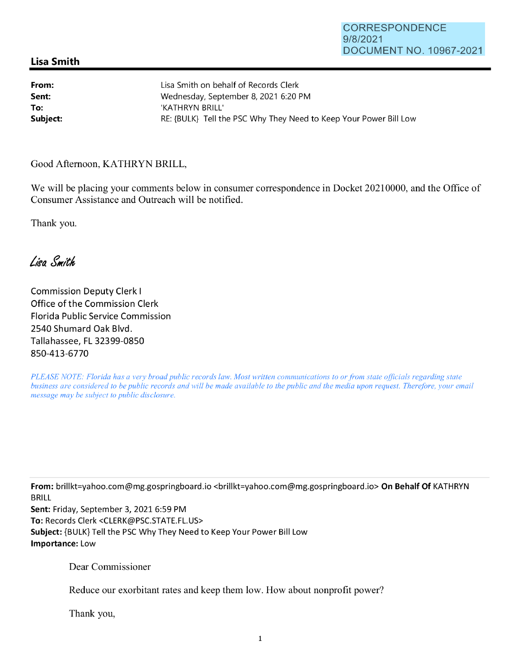## **Lisa Smith**

| From:    | Lisa Smith on behalf of Records Clerk                             |
|----------|-------------------------------------------------------------------|
| Sent:    | Wednesday, September 8, 2021 6:20 PM                              |
| To:      | 'KATHRYN BRILL'                                                   |
| Subject: | RE: {BULK} Tell the PSC Why They Need to Keep Your Power Bill Low |

Good Afternoon, KATHRYN BRILL,

We will be placing your comments below in consumer correspondence in Docket 20210000, and the Office of Consumer Assistance and Outreach will be notified.

Thank you.

Lisa Smith

Commission Deputy Clerk I Office of the Commission Clerk Florida Public Service Commission 2540 Shumard Oak Blvd. Tallahassee, FL 32399-0850 850-413-6770

*PLEASE NOTE: Florida has a very broad public records law. Most written communications to or from state officials regarding state business are considered to be public records and will be made available to the public and the media upon request. Therefore, your email message may be subject to public disclosure.* 

**From:** brillkt=yahoo.com@mg.gospringboard.io <brillkt=yahoo.com@mg.gospringboard.io> **On Behalf Of** KATHRYN BRILL

**Sent:** Friday, September 3, 2021 6:59 PM **To:** Records Clerk <CLERK@PSC.STATE.FL.US> **Subject:** {BULK} Tell the PSC Why They Need to Keep Your Power Bill Low **Importance:** Low

Dear Commissioner

Reduce our exorbitant rates and keep them low. How about nonprofit power?

Thank you,